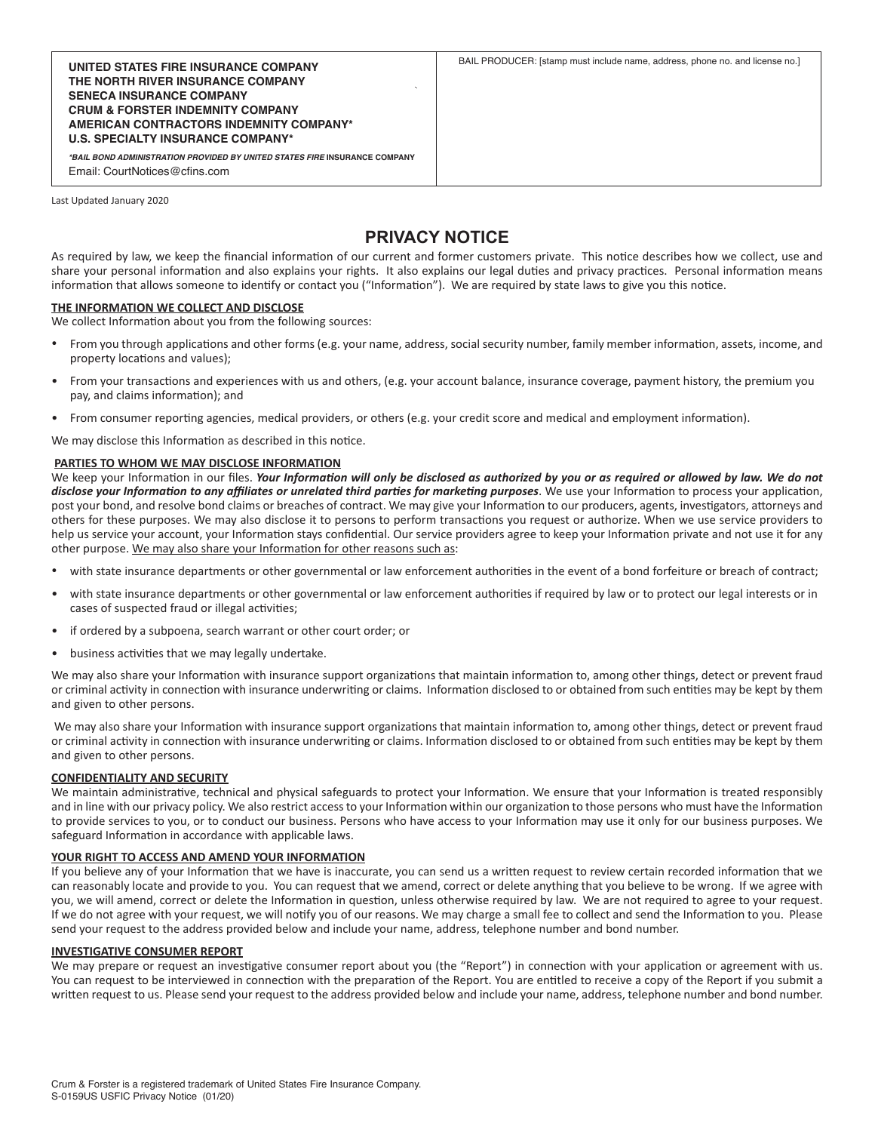**THE NORTH RIVER INSURANCE COMPANY SENECA INSURANCE COMPANY CRUM & FORSTER INDEMNITY COMPANY AMERICAN CONTRACTORS INDEMNITY COMPANY\* U.S. SPECIALTY INSURANCE COMPANY\***

*\*BAIL BOND ADMINISTRATION PROVIDED BY UNITED STATES FIRE* **INSURANCE COMPANY** Email: CourtNotices@cfins.com

Last Updated January 2020

# **PRIVACY NOTICE**

As required by law, we keep the financial information of our current and former customers private. This notice describes how we collect, use and share your personal information and also explains your rights. It also explains our legal duties and privacy practices. Personal information means information that allows someone to identify or contact you ("Information"). We are required by state laws to give you this notice.

### **THE INFORMATION WE COLLECT AND DISCLOSE**

We collect Information about you from the following sources:

- From you through applications and other forms (e.g. your name, address, social security number, family member information, assets, income, and property locations and values);
- From your transactions and experiences with us and others, (e.g. your account balance, insurance coverage, payment history, the premium you pay, and claims information); and
- From consumer reporting agencies, medical providers, or others (e.g. your credit score and medical and employment information).

We may disclose this Information as described in this notice.

### **PARTIES TO WHOM WE MAY DISCLOSE INFORMATION**

We keep your Information in our files. *Your Information will only be disclosed as authorized by you or as required or allowed by law. We do not disclose your Information to any affiliates or unrelated third parties for marketing purposes*. We use your Information to process your application, post your bond, and resolve bond claims or breaches of contract. We may give your Information to our producers, agents, investigators, attorneys and others for these purposes. We may also disclose it to persons to perform transactions you request or authorize. When we use service providers to help us service your account, your Information stays confidential. Our service providers agree to keep your Information private and not use it for any other purpose. We may also share your Information for other reasons such as:

- with state insurance departments or other governmental or law enforcement authorities in the event of a bond forfeiture or breach of contract;
- with state insurance departments or other governmental or law enforcement authorities if required by law or to protect our legal interests or in cases of suspected fraud or illegal activities;
- if ordered by a subpoena, search warrant or other court order; or
- business activities that we may legally undertake.

We may also share your Information with insurance support organizations that maintain information to, among other things, detect or prevent fraud or criminal activity in connection with insurance underwriting or claims. Information disclosed to or obtained from such entities may be kept by them and given to other persons.

 We may also share your Information with insurance support organizations that maintain information to, among other things, detect or prevent fraud or criminal activity in connection with insurance underwriting or claims. Information disclosed to or obtained from such entities may be kept by them and given to other persons.

### **CONFIDENTIALITY AND SECURITY**

We maintain administrative, technical and physical safeguards to protect your Information. We ensure that your Information is treated responsibly and in line with our privacy policy. We also restrict access to your Information within our organization to those persons who must have the Information to provide services to you, or to conduct our business. Persons who have access to your Information may use it only for our business purposes. We safeguard Information in accordance with applicable laws.

## **YOUR RIGHT TO ACCESS AND AMEND YOUR INFORMATION**

If you believe any of your Information that we have is inaccurate, you can send us a written request to review certain recorded information that we can reasonably locate and provide to you. You can request that we amend, correct or delete anything that you believe to be wrong. If we agree with you, we will amend, correct or delete the Information in question, unless otherwise required by law. We are not required to agree to your request. If we do not agree with your request, we will notify you of our reasons. We may charge a small fee to collect and send the Information to you. Please send your request to the address provided below and include your name, address, telephone number and bond number.

# **INVESTIGATIVE CONSUMER REPORT**

We may prepare or request an investigative consumer report about you (the "Report") in connection with your application or agreement with us. You can request to be interviewed in connection with the preparation of the Report. You are entitled to receive a copy of the Report if you submit a written request to us. Please send your request to the address provided below and include your name, address, telephone number and bond number.